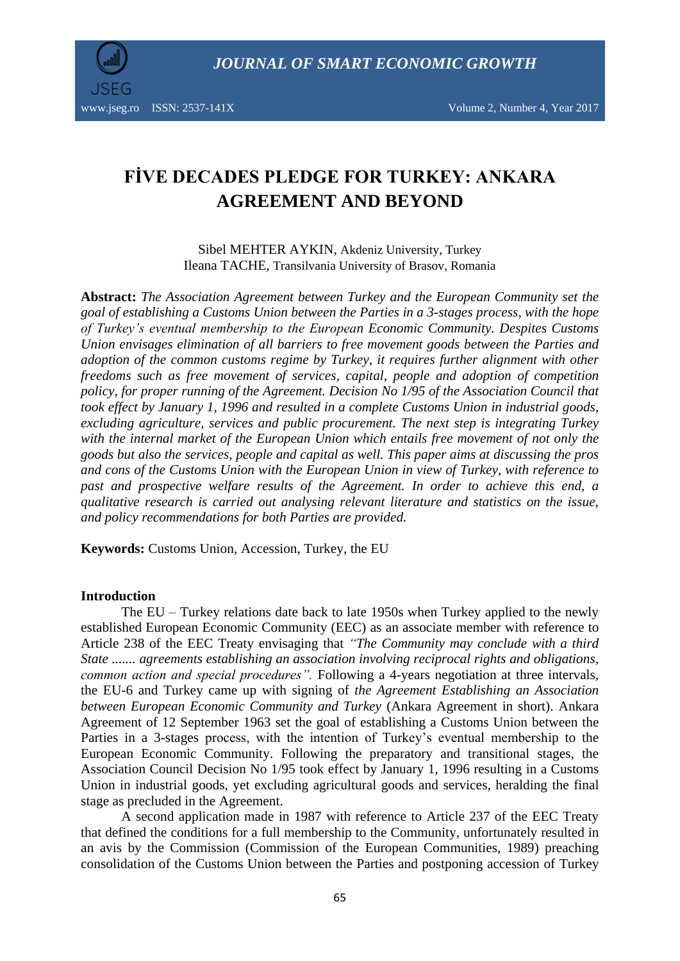

www.jseg.ro ISSN: 2537-141X Volume 2, Number 4, Year 2017

# **FİVE DECADES PLEDGE FOR TURKEY: ANKARA AGREEMENT AND BEYOND**

Sibel MEHTER AYKIN, Akdeniz University, Turkey Ileana TACHE, Transilvania University of Brasov, Romania

**Abstract:** *The Association Agreement between Turkey and the European Community set the goal of establishing a Customs Union between the Parties in a 3-stages process, with the hope of Turkey's eventual membership to the European Economic Community. Despites Customs Union envisages elimination of all barriers to free movement goods between the Parties and adoption of the common customs regime by Turkey, it requires further alignment with other freedoms such as free movement of services, capital, people and adoption of competition policy, for proper running of the Agreement. Decision No 1/95 of the Association Council that took effect by January 1, 1996 and resulted in a complete Customs Union in industrial goods, excluding agriculture, services and public procurement. The next step is integrating Turkey with the internal market of the European Union which entails free movement of not only the goods but also the services, people and capital as well. This paper aims at discussing the pros and cons of the Customs Union with the European Union in view of Turkey, with reference to past and prospective welfare results of the Agreement. In order to achieve this end, a qualitative research is carried out analysing relevant literature and statistics on the issue, and policy recommendations for both Parties are provided.* 

**Keywords:** Customs Union, Accession, Turkey, the EU

### **Introduction**

The EU – Turkey relations date back to late 1950s when Turkey applied to the newly established European Economic Community (EEC) as an associate member with reference to Article 238 of the EEC Treaty envisaging that *"The Community may conclude with a third State ....... agreements establishing an association involving reciprocal rights and obligations, common action and special procedures".* Following a 4-years negotiation at three intervals, the EU-6 and Turkey came up with signing of *the Agreement Establishing an Association between European Economic Community and Turkey* (Ankara Agreement in short). Ankara Agreement of 12 September 1963 set the goal of establishing a Customs Union between the Parties in a 3-stages process, with the intention of Turkey's eventual membership to the European Economic Community. Following the preparatory and transitional stages, the Association Council Decision No 1/95 took effect by January 1, 1996 resulting in a Customs Union in industrial goods, yet excluding agricultural goods and services, heralding the final stage as precluded in the Agreement.

A second application made in 1987 with reference to Article 237 of the EEC Treaty that defined the conditions for a full membership to the Community, unfortunately resulted in an avis by the Commission (Commission of the European Communities, 1989) preaching consolidation of the Customs Union between the Parties and postponing accession of Turkey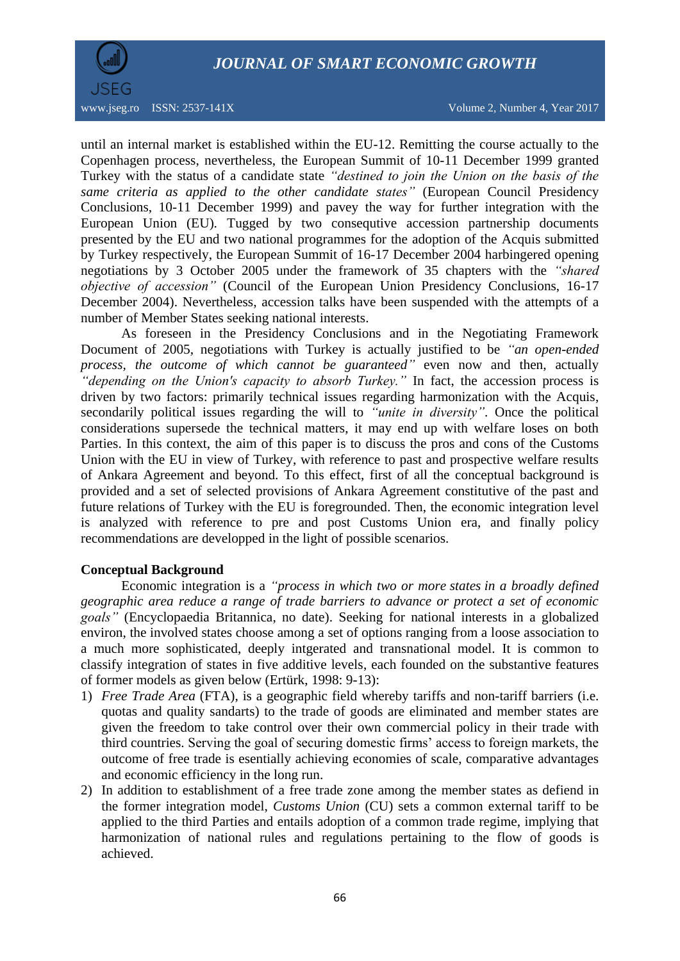

www.jseg.ro ISSN: 2537-141X Volume 2, Number 4, Year 2017

until an internal market is established within the EU-12. Remitting the course actually to the Copenhagen process, nevertheless, the European Summit of 10-11 December 1999 granted Turkey with the status of a candidate state *"destined to join the Union on the basis of the same criteria as applied to the other candidate states"* (European Council Presidency Conclusions, 10-11 December 1999) and pavey the way for further integration with the European Union (EU)*.* Tugged by two consequtive accession partnership documents presented by the EU and two national programmes for the adoption of the Acquis submitted by Turkey respectively, the European Summit of 16-17 December 2004 harbingered opening negotiations by 3 October 2005 under the framework of 35 chapters with the *"shared objective of accession"* (Council of the European Union Presidency Conclusions, 16-17 December 2004). Nevertheless, accession talks have been suspended with the attempts of a number of Member States seeking national interests.

As foreseen in the Presidency Conclusions and in the Negotiating Framework Document of 2005, negotiations with Turkey is actually justified to be *"an open-ended process, the outcome of which cannot be guaranteed"* even now and then, actually *"depending on the Union's capacity to absorb Turkey."* In fact, the accession process is driven by two factors: primarily technical issues regarding harmonization with the Acquis, secondarily political issues regarding the will to *"unite in diversity"*. Once the political considerations supersede the technical matters, it may end up with welfare loses on both Parties. In this context, the aim of this paper is to discuss the pros and cons of the Customs Union with the EU in view of Turkey, with reference to past and prospective welfare results of Ankara Agreement and beyond. To this effect, first of all the conceptual background is provided and a set of selected provisions of Ankara Agreement constitutive of the past and future relations of Turkey with the EU is foregrounded. Then, the economic integration level is analyzed with reference to pre and post Customs Union era, and finally policy recommendations are developped in the light of possible scenarios.

### **Conceptual Background**

Economic integration is a *"process in which two or more [states](https://www.britannica.com/topic/state-sovereign-political-entity) in a broadly defined geographic area reduce a range of trade barriers to advance or protect a set of economic goals"* (Encyclopaedia Britannica, no date). Seeking for national interests in a globalized environ, the involved states choose among a set of options ranging from a loose association to a much more sophisticated, deeply intgerated and transnational model. It is common to classify integration of states in five additive levels, each founded on the substantive features of former models as given below (Ertürk, 1998: 9-13):

- 1) *Free Trade Area* (FTA), is a geographic field whereby tariffs and non-tariff barriers (i.e. quotas and quality sandarts) to the trade of goods are eliminated and member states are given the freedom to take control over their own commercial policy in their trade with third countries. Serving the goal of securing domestic firms' access to foreign markets, the outcome of free trade is esentially achieving economies of scale, comparative advantages and economic efficiency in the long run.
- 2) In addition to establishment of a free trade zone among the member states as defiend in the former integration model, *Customs Union* (CU) sets a common external tariff to be applied to the third Parties and entails adoption of a common trade regime, implying that harmonization of national rules and regulations pertaining to the flow of goods is achieved.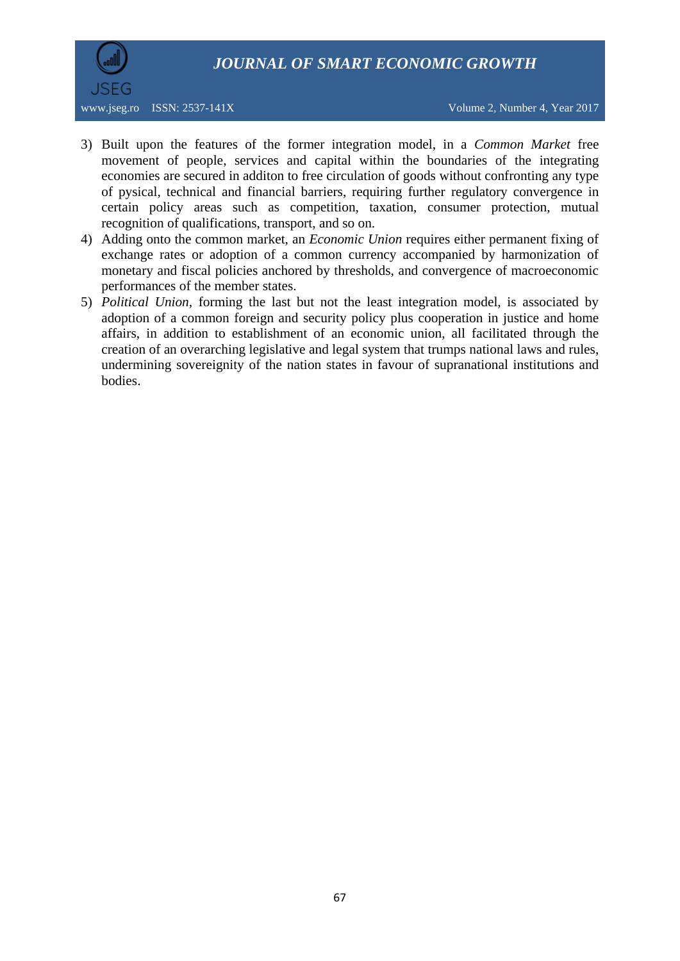

- 3) Built upon the features of the former integration model, in a *Common Market* free movement of people, services and capital within the boundaries of the integrating economies are secured in additon to free circulation of goods without confronting any type of pysical, technical and financial barriers, requiring further regulatory convergence in certain policy areas such as competition, taxation, consumer protection, mutual recognition of qualifications, transport, and so on.
- 4) Adding onto the common market, an *Economic Union* requires either permanent fixing of exchange rates or adoption of a common currency accompanied by harmonization of monetary and fiscal policies anchored by thresholds, and convergence of macroeconomic performances of the member states.
- 5) *Political Union,* forming the last but not the least integration model, is associated by adoption of a common foreign and security policy plus cooperation in justice and home affairs, in addition to establishment of an economic union, all facilitated through the creation of an overarching legislative and legal system that trumps national laws and rules, undermining sovereignity of the nation states in favour of supranational institutions and bodies.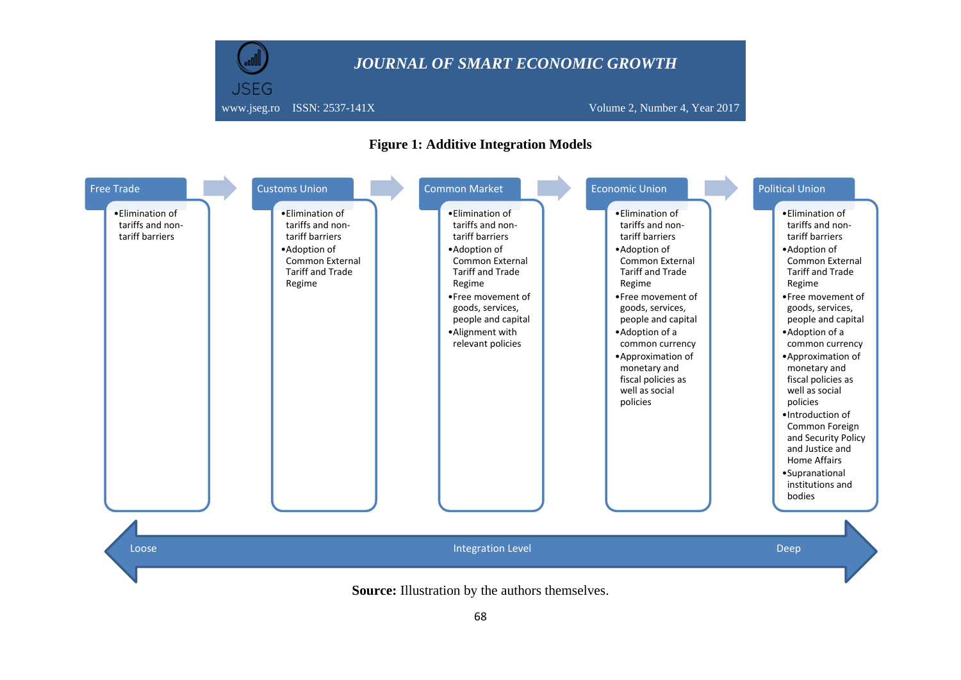

### **Figure 1: Additive Integration Models**



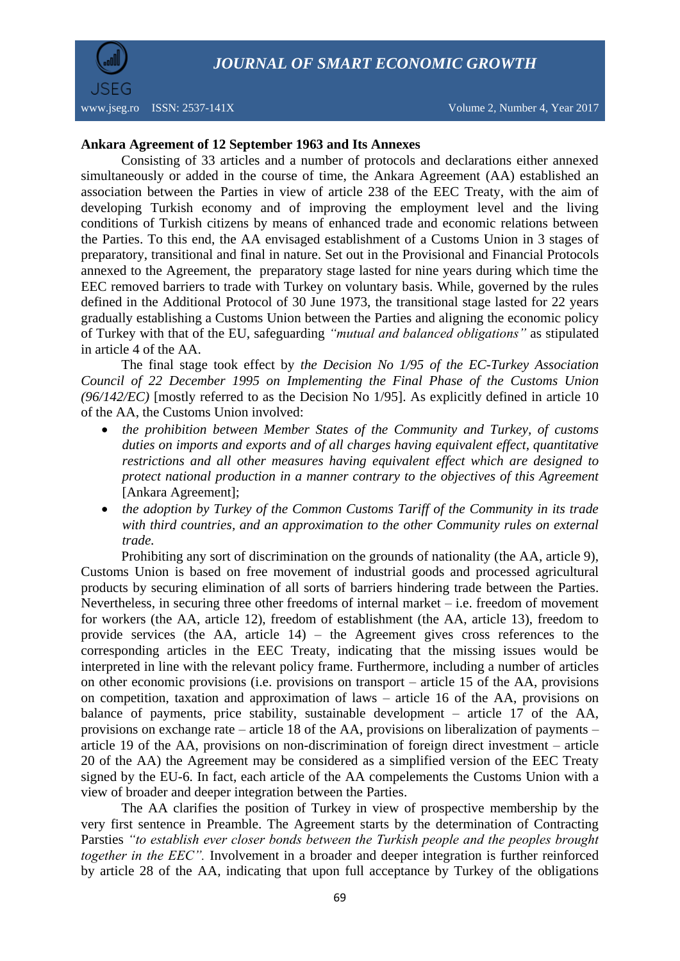

www.jseg.ro ISSN: 2537-141X Volume 2, Number 4, Year 2017

### **Ankara Agreement of 12 September 1963 and Its Annexes**

Consisting of 33 articles and a number of protocols and declarations either annexed simultaneously or added in the course of time, the Ankara Agreement (AA) established an association between the Parties in view of article 238 of the EEC Treaty, with the aim of developing Turkish economy and of improving the employment level and the living conditions of Turkish citizens by means of enhanced trade and economic relations between the Parties. To this end, the AA envisaged establishment of a Customs Union in 3 stages of preparatory, transitional and final in nature. Set out in the Provisional and Financial Protocols annexed to the Agreement, the preparatory stage lasted for nine years during which time the EEC removed barriers to trade with Turkey on voluntary basis. While, governed by the rules defined in the Additional Protocol of 30 June 1973, the transitional stage lasted for 22 years gradually establishing a Customs Union between the Parties and aligning the economic policy of Turkey with that of the EU, safeguarding *"mutual and balanced obligations"* as stipulated in article 4 of the AA.

The final stage took effect by *the Decision No 1/95 of the EC-Turkey Association Council of 22 December 1995 on Implementing the Final Phase of the Customs Union (96/142/EC)* [mostly referred to as the Decision No 1/95]. As explicitly defined in article 10 of the AA, the Customs Union involved:

- *the prohibition between Member States of the Community and Turkey, of customs duties on imports and exports and of all charges having equivalent effect, quantitative restrictions and all other measures having equivalent effect which are designed to protect national production in a manner contrary to the objectives of this Agreement*  [Ankara Agreement];
- *the adoption by Turkey of the Common Customs Tariff of the Community in its trade with third countries, and an approximation to the other Community rules on external trade.*

Prohibiting any sort of discrimination on the grounds of nationality (the AA, article 9), Customs Union is based on free movement of industrial goods and processed agricultural products by securing elimination of all sorts of barriers hindering trade between the Parties. Nevertheless, in securing three other freedoms of internal market – i.e. freedom of movement for workers (the AA, article 12), freedom of establishment (the AA, article 13), freedom to provide services (the AA, article 14) – the Agreement gives cross references to the corresponding articles in the EEC Treaty, indicating that the missing issues would be interpreted in line with the relevant policy frame. Furthermore, including a number of articles on other economic provisions (i.e. provisions on transport – article 15 of the AA, provisions on competition, taxation and approximation of laws – article 16 of the AA, provisions on balance of payments, price stability, sustainable development – article 17 of the AA, provisions on exchange rate – article 18 of the AA, provisions on liberalization of payments – article 19 of the AA, provisions on non-discrimination of foreign direct investment – article 20 of the AA) the Agreement may be considered as a simplified version of the EEC Treaty signed by the EU-6. In fact, each article of the AA compelements the Customs Union with a view of broader and deeper integration between the Parties.

The AA clarifies the position of Turkey in view of prospective membership by the very first sentence in Preamble. The Agreement starts by the determination of Contracting Parsties *"to establish ever closer bonds between the Turkish people and the peoples brought together in the EEC".* Involvement in a broader and deeper integration is further reinforced by article 28 of the AA, indicating that upon full acceptance by Turkey of the obligations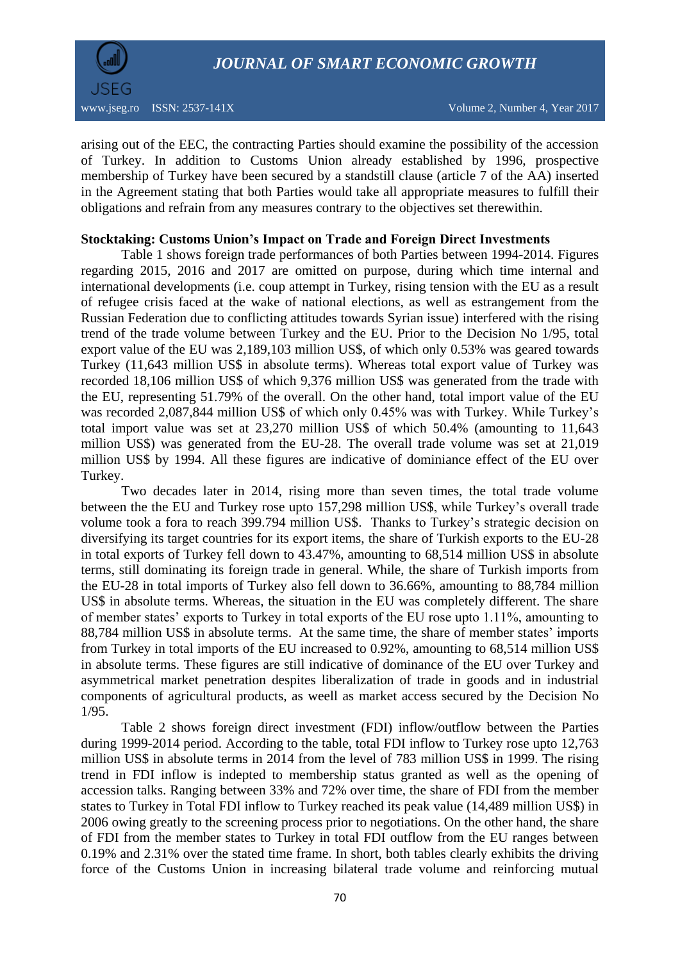

arising out of the EEC, the contracting Parties should examine the possibility of the accession of Turkey. In addition to Customs Union already established by 1996, prospective membership of Turkey have been secured by a standstill clause (article 7 of the AA) inserted in the Agreement stating that both Parties would take all appropriate measures to fulfill their obligations and refrain from any measures contrary to the objectives set therewithin.

#### **Stocktaking: Customs Union's Impact on Trade and Foreign Direct Investments**

Table 1 shows foreign trade performances of both Parties between 1994-2014. Figures regarding 2015, 2016 and 2017 are omitted on purpose, during which time internal and international developments (i.e. coup attempt in Turkey, rising tension with the EU as a result of refugee crisis faced at the wake of national elections, as well as estrangement from the Russian Federation due to conflicting attitudes towards Syrian issue) interfered with the rising trend of the trade volume between Turkey and the EU. Prior to the Decision No 1/95, total export value of the EU was 2,189,103 million US\$, of which only 0.53% was geared towards Turkey (11,643 million US\$ in absolute terms). Whereas total export value of Turkey was recorded 18,106 million US\$ of which 9,376 million US\$ was generated from the trade with the EU, representing 51.79% of the overall. On the other hand, total import value of the EU was recorded 2,087,844 million US\$ of which only 0.45% was with Turkey. While Turkey's total import value was set at 23,270 million US\$ of which 50.4% (amounting to 11,643 million US\$) was generated from the EU-28. The overall trade volume was set at 21,019 million US\$ by 1994. All these figures are indicative of dominiance effect of the EU over Turkey.

Two decades later in 2014, rising more than seven times, the total trade volume between the the EU and Turkey rose upto 157,298 million US\$, while Turkey's overall trade volume took a fora to reach 399.794 million US\$. Thanks to Turkey's strategic decision on diversifying its target countries for its export items, the share of Turkish exports to the EU-28 in total exports of Turkey fell down to 43.47%, amounting to 68,514 million US\$ in absolute terms, still dominating its foreign trade in general. While, the share of Turkish imports from the EU-28 in total imports of Turkey also fell down to 36.66%, amounting to 88,784 million US\$ in absolute terms. Whereas, the situation in the EU was completely different. The share of member states' exports to Turkey in total exports of the EU rose upto 1.11%, amounting to 88,784 million US\$ in absolute terms. At the same time, the share of member states' imports from Turkey in total imports of the EU increased to 0.92%, amounting to 68,514 million US\$ in absolute terms. These figures are still indicative of dominance of the EU over Turkey and asymmetrical market penetration despites liberalization of trade in goods and in industrial components of agricultural products, as weell as market access secured by the Decision No 1/95.

Table 2 shows foreign direct investment (FDI) inflow/outflow between the Parties during 1999-2014 period. According to the table, total FDI inflow to Turkey rose upto 12,763 million US\$ in absolute terms in 2014 from the level of 783 million US\$ in 1999. The rising trend in FDI inflow is indepted to membership status granted as well as the opening of accession talks. Ranging between 33% and 72% over time, the share of FDI from the member states to Turkey in Total FDI inflow to Turkey reached its peak value (14,489 million US\$) in 2006 owing greatly to the screening process prior to negotiations. On the other hand, the share of FDI from the member states to Turkey in total FDI outflow from the EU ranges between 0.19% and 2.31% over the stated time frame. In short, both tables clearly exhibits the driving force of the Customs Union in increasing bilateral trade volume and reinforcing mutual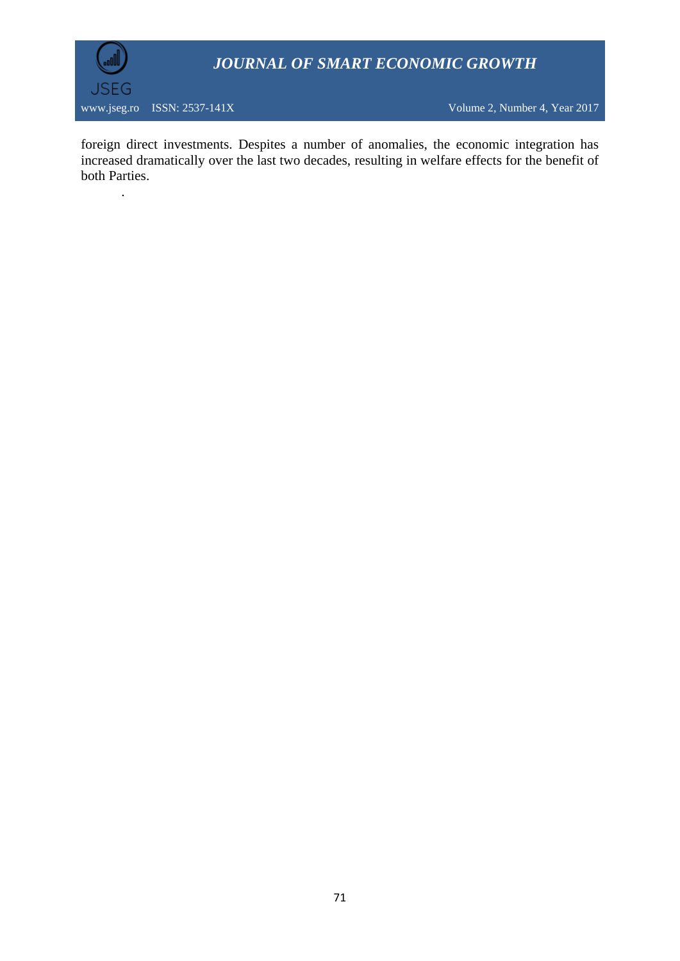

.

foreign direct investments. Despites a number of anomalies, the economic integration has increased dramatically over the last two decades, resulting in welfare effects for the benefit of both Parties.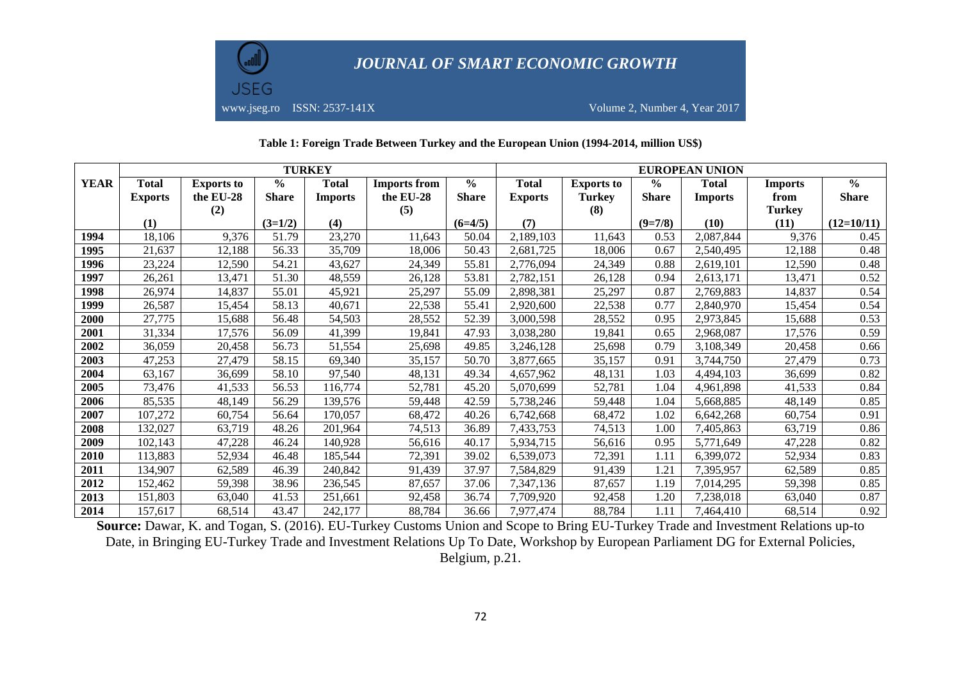

#### **Table 1: Foreign Trade Between Turkey and the European Union (1994-2014, million US\$)**

|             | <b>TURKEY</b>  |                   |               |                |                     |               | <b>EUROPEAN UNION</b> |                   |               |                |                |               |
|-------------|----------------|-------------------|---------------|----------------|---------------------|---------------|-----------------------|-------------------|---------------|----------------|----------------|---------------|
| <b>YEAR</b> | <b>Total</b>   | <b>Exports to</b> | $\frac{0}{0}$ | <b>Total</b>   | <b>Imports from</b> | $\frac{0}{0}$ | <b>Total</b>          | <b>Exports to</b> | $\frac{1}{2}$ | <b>Total</b>   | <b>Imports</b> | $\frac{0}{0}$ |
|             | <b>Exports</b> | the EU-28         | <b>Share</b>  | <b>Imports</b> | the EU-28           | <b>Share</b>  | <b>Exports</b>        | <b>Turkey</b>     | <b>Share</b>  | <b>Imports</b> | from           | <b>Share</b>  |
|             |                | (2)               |               |                | (5)                 |               |                       | (8)               |               |                | <b>Turkey</b>  |               |
|             | (1)            |                   | $(3=1/2)$     | (4)            |                     | $(6=4/5)$     | (7)                   |                   | $(9=7/8)$     | (10)           | (11)           | $(12=10/11)$  |
| 1994        | 18,106         | 9,376             | 51.79         | 23,270         | 11,643              | 50.04         | 2,189,103             | 11,643            | 0.53          | 2,087,844      | 9,376          | 0.45          |
| 1995        | 21,637         | 12,188            | 56.33         | 35,709         | 18,006              | 50.43         | 2,681,725             | 18,006            | 0.67          | 2,540,495      | 12,188         | 0.48          |
| 1996        | 23,224         | 12,590            | 54.21         | 43,627         | 24,349              | 55.81         | 2,776,094             | 24,349            | 0.88          | 2,619,101      | 12,590         | 0.48          |
| 1997        | 26,261         | 13,471            | 51.30         | 48,559         | 26.128              | 53.81         | 2,782,151             | 26,128            | 0.94          | 2,613,171      | 13,471         | 0.52          |
| 1998        | 26,974         | 14,837            | 55.01         | 45,921         | 25,297              | 55.09         | 2,898,381             | 25,297            | 0.87          | 2,769,883      | 14,837         | 0.54          |
| 1999        | 26,587         | 15,454            | 58.13         | 40,671         | 22,538              | 55.41         | 2,920,600             | 22,538            | 0.77          | 2,840,970      | 15,454         | 0.54          |
| 2000        | 27,775         | 15,688            | 56.48         | 54,503         | 28,552              | 52.39         | 3,000,598             | 28,552            | 0.95          | 2,973,845      | 15,688         | 0.53          |
| 2001        | 31,334         | 17,576            | 56.09         | 41,399         | 19,841              | 47.93         | 3,038,280             | 19,841            | 0.65          | 2,968,087      | 17,576         | 0.59          |
| 2002        | 36,059         | 20,458            | 56.73         | 51,554         | 25,698              | 49.85         | 3,246,128             | 25,698            | 0.79          | 3,108,349      | 20,458         | 0.66          |
| 2003        | 47,253         | 27,479            | 58.15         | 69,340         | 35,157              | 50.70         | 3,877,665             | 35,157            | 0.91          | 3,744,750      | 27,479         | 0.73          |
| 2004        | 63,167         | 36.699            | 58.10         | 97,540         | 48.131              | 49.34         | 4,657,962             | 48,131            | 1.03          | 4,494,103      | 36,699         | 0.82          |
| 2005        | 73,476         | 41,533            | 56.53         | 116,774        | 52,781              | 45.20         | 5,070,699             | 52,781            | 1.04          | 4,961,898      | 41,533         | 0.84          |
| 2006        | 85,535         | 48,149            | 56.29         | 139,576        | 59,448              | 42.59         | 5,738,246             | 59,448            | 1.04          | 5,668,885      | 48,149         | 0.85          |
| 2007        | 107,272        | 60,754            | 56.64         | 170,057        | 68,472              | 40.26         | 6,742,668             | 68,472            | 1.02          | 6,642,268      | 60,754         | 0.91          |
| 2008        | 132,027        | 63,719            | 48.26         | 201,964        | 74,513              | 36.89         | 7,433,753             | 74,513            | 1.00          | 7,405,863      | 63,719         | 0.86          |
| 2009        | 102,143        | 47,228            | 46.24         | 140,928        | 56,616              | 40.17         | 5,934,715             | 56,616            | 0.95          | 5,771,649      | 47,228         | 0.82          |
| 2010        | 113,883        | 52,934            | 46.48         | 185,544        | 72,391              | 39.02         | 6,539,073             | 72,391            | 1.11          | 6,399,072      | 52,934         | 0.83          |
| 2011        | 134,907        | 62,589            | 46.39         | 240,842        | 91,439              | 37.97         | 7,584,829             | 91,439            | 1.21          | 7,395,957      | 62,589         | 0.85          |
| 2012        | 152,462        | 59,398            | 38.96         | 236,545        | 87,657              | 37.06         | 7,347,136             | 87,657            | 1.19          | 7,014,295      | 59,398         | 0.85          |
| 2013        | 151,803        | 63,040            | 41.53         | 251,661        | 92,458              | 36.74         | 7,709,920             | 92,458            | l.20          | 7,238,018      | 63,040         | 0.87          |
| 2014        | 157,617        | 68,514            | 43.47         | 242,177        | 88,784              | 36.66         | 7,977,474             | 88,784            | 1.11          | 7,464,410      | 68,514         | 0.92          |

**Source:** Dawar, K. and Togan, S. (2016). EU-Turkey Customs Union and Scope to Bring EU-Turkey Trade and Investment Relations up-to Date, in Bringing EU-Turkey Trade and Investment Relations Up To Date, Workshop by European Parliament DG for External Policies, Belgium, p.21.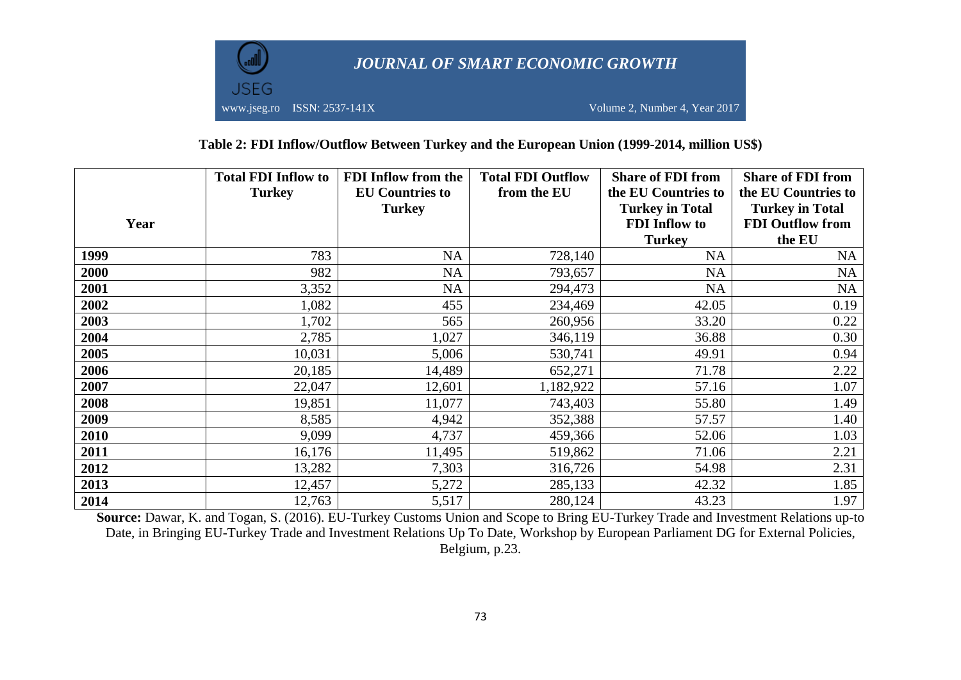

### **Table 2: FDI Inflow/Outflow Between Turkey and the European Union (1999-2014, million US\$)**

|      | <b>Total FDI Inflow to</b><br><b>Turkey</b> | <b>FDI</b> Inflow from the<br><b>EU Countries to</b><br><b>Turkey</b> | <b>Total FDI Outflow</b><br>from the EU | <b>Share of FDI from</b><br>the EU Countries to<br><b>Turkey in Total</b> | <b>Share of FDI from</b><br>the EU Countries to<br><b>Turkey in Total</b> |
|------|---------------------------------------------|-----------------------------------------------------------------------|-----------------------------------------|---------------------------------------------------------------------------|---------------------------------------------------------------------------|
| Year |                                             |                                                                       |                                         | <b>FDI</b> Inflow to                                                      | <b>FDI Outflow from</b>                                                   |
|      |                                             |                                                                       |                                         | <b>Turkey</b>                                                             | the EU                                                                    |
| 1999 | 783                                         | <b>NA</b>                                                             | 728,140                                 | <b>NA</b>                                                                 | NA                                                                        |
| 2000 | 982                                         | <b>NA</b>                                                             | 793,657                                 | <b>NA</b>                                                                 | NA                                                                        |
| 2001 | 3,352                                       | <b>NA</b>                                                             | 294,473                                 | <b>NA</b>                                                                 | NA                                                                        |
| 2002 | 1,082                                       | 455                                                                   | 234,469                                 | 42.05                                                                     | 0.19                                                                      |
| 2003 | 1,702                                       | 565                                                                   | 260,956                                 | 33.20                                                                     | 0.22                                                                      |
| 2004 | 2,785                                       | 1,027                                                                 | 346,119                                 | 36.88                                                                     | 0.30                                                                      |
| 2005 | 10,031                                      | 5,006                                                                 | 530,741                                 | 49.91                                                                     | 0.94                                                                      |
| 2006 | 20,185                                      | 14,489                                                                | 652,271                                 | 71.78                                                                     | 2.22                                                                      |
| 2007 | 22,047                                      | 12,601                                                                | 1,182,922                               | 57.16                                                                     | 1.07                                                                      |
| 2008 | 19,851                                      | 11,077                                                                | 743,403                                 | 55.80                                                                     | 1.49                                                                      |
| 2009 | 8,585                                       | 4,942                                                                 | 352,388                                 | 57.57                                                                     | 1.40                                                                      |
| 2010 | 9,099                                       | 4,737                                                                 | 459,366                                 | 52.06                                                                     | 1.03                                                                      |
| 2011 | 16,176                                      | 11,495                                                                | 519,862                                 | 71.06                                                                     | 2.21                                                                      |
| 2012 | 13,282                                      | 7,303                                                                 | 316,726                                 | 54.98                                                                     | 2.31                                                                      |
| 2013 | 12,457                                      | 5,272                                                                 | 285,133                                 | 42.32                                                                     | 1.85                                                                      |
| 2014 | 12,763                                      | 5,517                                                                 | 280,124                                 | 43.23                                                                     | 1.97                                                                      |

Source: Dawar, K. and Togan, S. (2016). EU-Turkey Customs Union and Scope to Bring EU-Turkey Trade and Investment Relations up-to Date, in Bringing EU-Turkey Trade and Investment Relations Up To Date, Workshop by European Parliament DG for External Policies, Belgium, p.23.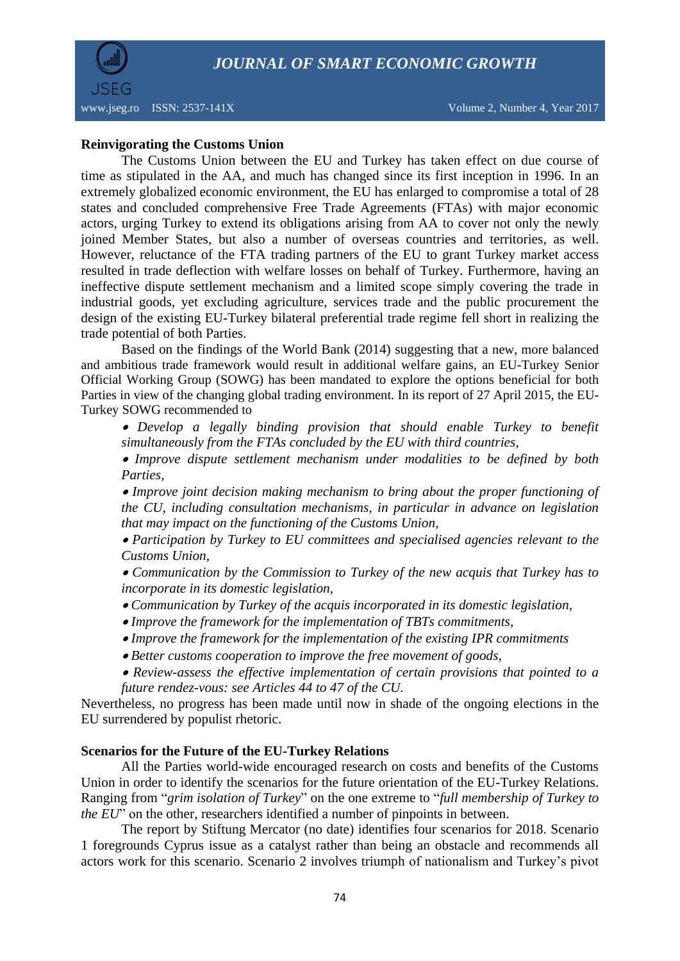

www.jseg.ro ISSN: 2537-141X Volume 2, Number 4, Year 2017

### **Reinvigorating the Customs Union**

The Customs Union between the EU and Turkey has taken effect on due course of time as stipulated in the AA, and much has changed since its first inception in 1996. In an extremely globalized economic environment, the EU has enlarged to compromise a total of 28 states and concluded comprehensive Free Trade Agreements (FTAs) with major economic actors, urging Turkey to extend its obligations arising from AA to cover not only the newly joined Member States, but also a number of overseas countries and territories, as well. However, reluctance of the FTA trading partners of the EU to grant Turkey market access resulted in trade deflection with welfare losses on behalf of Turkey. Furthermore, having an ineffective dispute settlement mechanism and a limited scope simply covering the trade in industrial goods, yet excluding agriculture, services trade and the public procurement the design of the existing EU-Turkey bilateral preferential trade regime fell short in realizing the trade potential of both Parties.

Based on the findings of the World Bank (2014) suggesting that a new, more balanced and ambitious trade framework would result in additional welfare gains, an EU-Turkey Senior Official Working Group (SOWG) has been mandated to explore the options beneficial for both Parties in view of the changing global trading environment. In its report of 27 April 2015, the EU-Turkey SOWG recommended to

 *Develop a legally binding provision that should enable Turkey to benefit simultaneously from the FTAs concluded by the EU with third countries,*

 *Improve dispute settlement mechanism under modalities to be defined by both Parties,*

 *Improve joint decision making mechanism to bring about the proper functioning of the CU, including consultation mechanisms, in particular in advance on legislation that may impact on the functioning of the Customs Union,*

 *Participation by Turkey to EU committees and specialised agencies relevant to the Customs Union,*

 *Communication by the Commission to Turkey of the new acquis that Turkey has to incorporate in its domestic legislation,*

- *Communication by Turkey of the acquis incorporated in its domestic legislation,*
- *Improve the framework for the implementation of TBTs commitments,*
- *Improve the framework for the implementation of the existing IPR commitments*
- *Better customs cooperation to improve the free movement of goods,*
- *Review-assess the effective implementation of certain provisions that pointed to a future rendez-vous: see Articles 44 to 47 of the CU.*

Nevertheless, no progress has been made until now in shade of the ongoing elections in the EU surrendered by populist rhetoric.

### **Scenarios for the Future of the EU-Turkey Relations**

All the Parties world-wide encouraged research on costs and benefits of the Customs Union in order to identify the scenarios for the future orientation of the EU-Turkey Relations. Ranging from "*grim isolation of Turkey*" on the one extreme to "*full membership of Turkey to the EU*" on the other, researchers identified a number of pinpoints in between.

The report by Stiftung Mercator (no date) identifies four scenarios for 2018. Scenario 1 foregrounds Cyprus issue as a catalyst rather than being an obstacle and recommends all actors work for this scenario. Scenario 2 involves triumph of nationalism and Turkey's pivot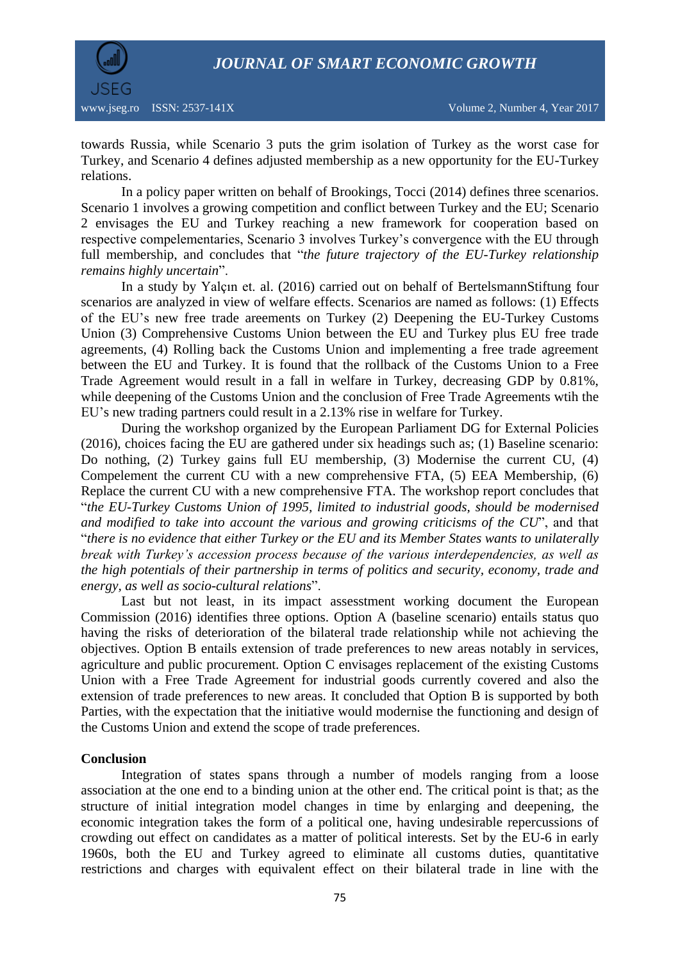

towards Russia, while Scenario 3 puts the grim isolation of Turkey as the worst case for Turkey, and Scenario 4 defines adjusted membership as a new opportunity for the EU-Turkey relations.

In a policy paper written on behalf of Brookings, Tocci (2014) defines three scenarios. Scenario 1 involves a growing competition and conflict between Turkey and the EU; Scenario 2 envisages the EU and Turkey reaching a new framework for cooperation based on respective compelementaries, Scenario 3 involves Turkey's convergence with the EU through full membership, and concludes that "*the future trajectory of the EU-Turkey relationship remains highly uncertain*".

In a study by Yalçın et. al. (2016) carried out on behalf of BertelsmannStiftung four scenarios are analyzed in view of welfare effects. Scenarios are named as follows: (1) Effects of the EU's new free trade areements on Turkey (2) Deepening the EU-Turkey Customs Union (3) Comprehensive Customs Union between the EU and Turkey plus EU free trade agreements, (4) Rolling back the Customs Union and implementing a free trade agreement between the EU and Turkey. It is found that the rollback of the Customs Union to a Free Trade Agreement would result in a fall in welfare in Turkey, decreasing GDP by 0.81%, while deepening of the Customs Union and the conclusion of Free Trade Agreements wtih the EU's new trading partners could result in a 2.13% rise in welfare for Turkey.

During the workshop organized by the European Parliament DG for External Policies (2016), choices facing the EU are gathered under six headings such as; (1) Baseline scenario: Do nothing, (2) Turkey gains full EU membership, (3) Modernise the current CU, (4) Compelement the current CU with a new comprehensive FTA, (5) EEA Membership, (6) Replace the current CU with a new comprehensive FTA. The workshop report concludes that "*the EU-Turkey Customs Union of 1995, limited to industrial goods, should be modernised and modified to take into account the various and growing criticisms of the CU*", and that "*there is no evidence that either Turkey or the EU and its Member States wants to unilaterally break with Turkey's accession process because of the various interdependencies, as well as the high potentials of their partnership in terms of politics and security, economy, trade and energy, as well as socio-cultural relations*".

Last but not least, in its impact assesstment working document the European Commission (2016) identifies three options. Option A (baseline scenario) entails status quo having the risks of deterioration of the bilateral trade relationship while not achieving the objectives. Option B entails extension of trade preferences to new areas notably in services, agriculture and public procurement. Option C envisages replacement of the existing Customs Union with a Free Trade Agreement for industrial goods currently covered and also the extension of trade preferences to new areas. It concluded that Option B is supported by both Parties, with the expectation that the initiative would modernise the functioning and design of the Customs Union and extend the scope of trade preferences.

### **Conclusion**

Integration of states spans through a number of models ranging from a loose association at the one end to a binding union at the other end. The critical point is that; as the structure of initial integration model changes in time by enlarging and deepening, the economic integration takes the form of a political one, having undesirable repercussions of crowding out effect on candidates as a matter of political interests. Set by the EU-6 in early 1960s, both the EU and Turkey agreed to eliminate all customs duties, quantitative restrictions and charges with equivalent effect on their bilateral trade in line with the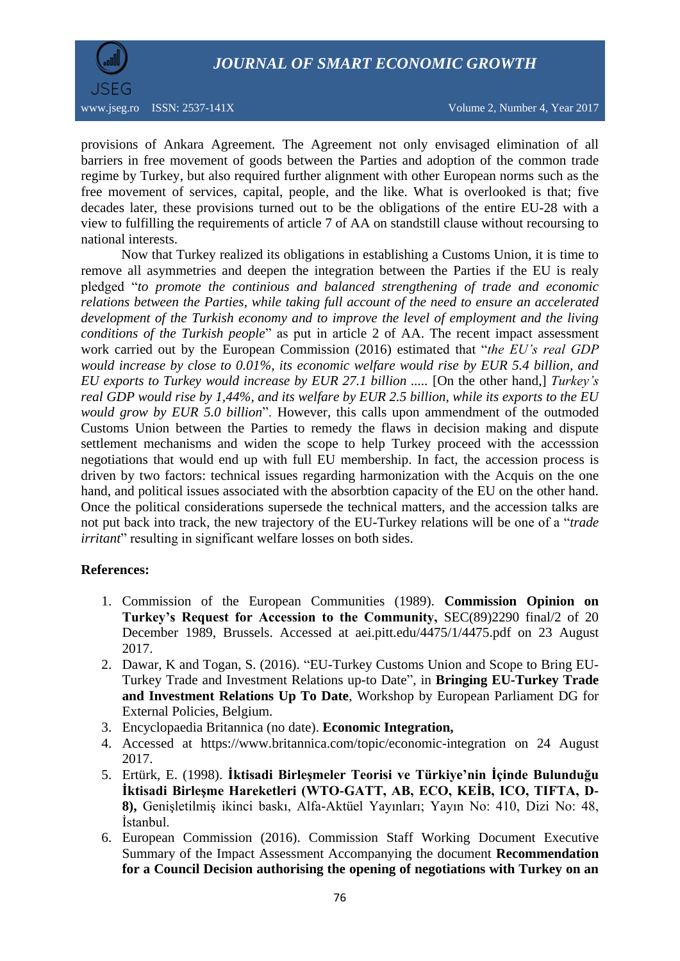

provisions of Ankara Agreement. The Agreement not only envisaged elimination of all barriers in free movement of goods between the Parties and adoption of the common trade regime by Turkey, but also required further alignment with other European norms such as the free movement of services, capital, people, and the like. What is overlooked is that; five decades later, these provisions turned out to be the obligations of the entire EU-28 with a view to fulfilling the requirements of article 7 of AA on standstill clause without recoursing to national interests.

Now that Turkey realized its obligations in establishing a Customs Union, it is time to remove all asymmetries and deepen the integration between the Parties if the EU is realy pledged "*to promote the continious and balanced strengthening of trade and economic relations between the Parties, while taking full account of the need to ensure an accelerated development of the Turkish economy and to improve the level of employment and the living conditions of the Turkish people*" as put in article 2 of AA. The recent impact assessment work carried out by the European Commission (2016) estimated that "*the EU's real GDP would increase by close to 0.01%, its economic welfare would rise by EUR 5.4 billion, and EU exports to Turkey would increase by EUR 27.1 billion .....* [On the other hand,] *Turkey's real GDP would rise by 1,44%, and its welfare by EUR 2.5 billion, while its exports to the EU would grow by EUR 5.0 billion*". However, this calls upon ammendment of the outmoded Customs Union between the Parties to remedy the flaws in decision making and dispute settlement mechanisms and widen the scope to help Turkey proceed with the accesssion negotiations that would end up with full EU membership. In fact, the accession process is driven by two factors: technical issues regarding harmonization with the Acquis on the one hand, and political issues associated with the absorbtion capacity of the EU on the other hand. Once the political considerations supersede the technical matters, and the accession talks are not put back into track, the new trajectory of the EU-Turkey relations will be one of a "*trade irritant*" resulting in significant welfare losses on both sides.

### **References:**

- 1. Commission of the European Communities (1989). **Commission Opinion on Turkey's Request for Accession to the Community,** SEC(89)2290 final/2 of 20 December 1989, Brussels. Accessed at aei.pitt.edu/4475/1/4475.pdf on 23 August 2017.
- 2. Dawar, K and Togan, S. (2016). "EU-Turkey Customs Union and Scope to Bring EU-Turkey Trade and Investment Relations up-to Date", in **Bringing EU-Turkey Trade and Investment Relations Up To Date**, Workshop by European Parliament DG for External Policies, Belgium.
- 3. Encyclopaedia Britannica (no date). **Economic Integration,**
- 4. Accessed at https://www.britannica.com/topic/economic-integration on 24 August 2017.
- 5. Ertürk, E. (1998). **İktisadi Birleşmeler Teorisi ve Türkiye'nin İçinde Bulunduğu İktisadi Birleşme Hareketleri (WTO-GATT, AB, ECO, KEİB, ICO, TIFTA, D-8),** Genişletilmiş ikinci baskı, Alfa-Aktüel Yayınları; Yayın No: 410, Dizi No: 48, İstanbul.
- 6. European Commission (2016). Commission Staff Working Document Executive Summary of the Impact Assessment Accompanying the document **Recommendation for a Council Decision authorising the opening of negotiations with Turkey on an**